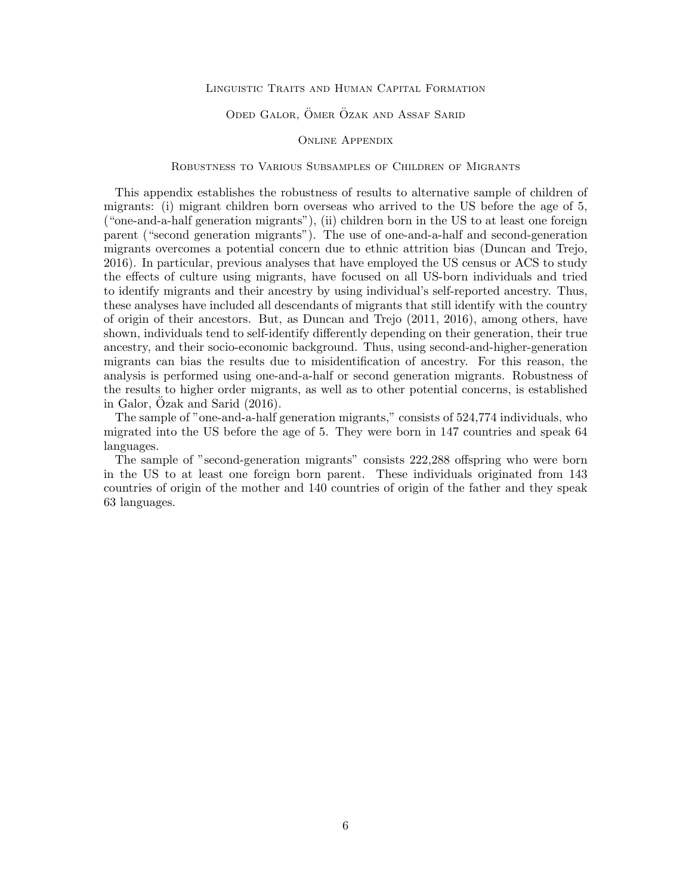## Linguistic Traits and Human Capital Formation

## ODED GALOR, ÖMER ÖZAK AND ASSAF SARID

## Online Appendix

## Robustness to Various Subsamples of Children of Migrants

This appendix establishes the robustness of results to alternative sample of children of migrants: (i) migrant children born overseas who arrived to the US before the age of 5, ("one-and-a-half generation migrants"), (ii) children born in the US to at least one foreign parent ("second generation migrants"). The use of one-and-a-half and second-generation migrants overcomes a potential concern due to ethnic attrition bias (Duncan and Trejo, 2016). In particular, previous analyses that have employed the US census or ACS to study the effects of culture using migrants, have focused on all US-born individuals and tried to identify migrants and their ancestry by using individual's self-reported ancestry. Thus, these analyses have included all descendants of migrants that still identify with the country of origin of their ancestors. But, as Duncan and Trejo (2011, 2016), among others, have shown, individuals tend to self-identify differently depending on their generation, their true ancestry, and their socio-economic background. Thus, using second-and-higher-generation migrants can bias the results due to misidentification of ancestry. For this reason, the analysis is performed using one-and-a-half or second generation migrants. Robustness of the results to higher order migrants, as well as to other potential concerns, is established in Galor,  $\overline{O}$ zak and Sarid  $(2016)$ .

The sample of "one-and-a-half generation migrants," consists of 524,774 individuals, who migrated into the US before the age of 5. They were born in 147 countries and speak 64 languages.

The sample of "second-generation migrants" consists 222,288 offspring who were born in the US to at least one foreign born parent. These individuals originated from 143 countries of origin of the mother and 140 countries of origin of the father and they speak 63 languages.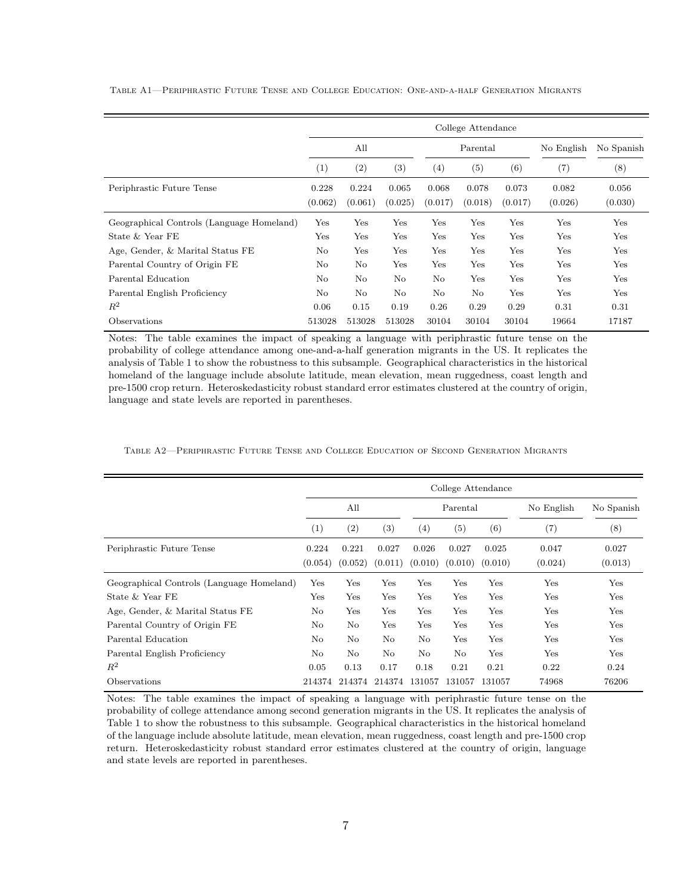|                                           | College Attendance |                  |                  |                  |                  |                  |                  |                  |  |  |  |
|-------------------------------------------|--------------------|------------------|------------------|------------------|------------------|------------------|------------------|------------------|--|--|--|
|                                           | All                |                  |                  |                  | Parental         |                  | No English       | No Spanish       |  |  |  |
|                                           | (1)                | (2)              | $\left(3\right)$ | (4)              | (5)              | (6)              | (7)              | (8)              |  |  |  |
| Periphrastic Future Tense                 | 0.228<br>(0.062)   | 0.224<br>(0.061) | 0.065<br>(0.025) | 0.068<br>(0.017) | 0.078<br>(0.018) | 0.073<br>(0.017) | 0.082<br>(0.026) | 0.056<br>(0.030) |  |  |  |
| Geographical Controls (Language Homeland) | Yes                | Yes              | Yes              | Yes              | Yes              | Yes              | Yes              | Yes              |  |  |  |
| State & Year FE                           | Yes                | Yes              | Yes              | Yes              | Yes              | Yes              | Yes              | Yes              |  |  |  |
| Age, Gender, & Marital Status FE          | No                 | Yes              | Yes              | Yes              | Yes              | Yes              | Yes              | Yes              |  |  |  |
| Parental Country of Origin FE             | No                 | $\rm No$         | Yes              | Yes              | Yes              | Yes              | Yes              | Yes              |  |  |  |
| Parental Education                        | No.                | No               | N <sub>o</sub>   | No               | Yes              | Yes              | Yes              | Yes              |  |  |  |
| Parental English Proficiency              | No                 | $\rm No$         | No               | No               | $\rm No$         | Yes              | Yes              | Yes              |  |  |  |
| $R^2$                                     | 0.06               | 0.15             | 0.19             | 0.26             | 0.29             | 0.29             | 0.31             | 0.31             |  |  |  |
| Observations                              | 513028             | 513028           | 513028           | 30104            | 30104            | 30104            | 19664            | 17187            |  |  |  |

Table A1—Periphrastic Future Tense and College Education: One-and-a-half Generation Migrants

Notes: The table examines the impact of speaking a language with periphrastic future tense on the probability of college attendance among one-and-a-half generation migrants in the US. It replicates the analysis of Table 1 to show the robustness to this subsample. Geographical characteristics in the historical homeland of the language include absolute latitude, mean elevation, mean ruggedness, coast length and pre-1500 crop return. Heteroskedasticity robust standard error estimates clustered at the country of origin, language and state levels are reported in parentheses.

|                                           | College Attendance |                  |                  |                  |                  |                  |                  |                  |  |  |
|-------------------------------------------|--------------------|------------------|------------------|------------------|------------------|------------------|------------------|------------------|--|--|
|                                           | All                |                  |                  | Parental         |                  |                  | No English       | No Spanish       |  |  |
|                                           | (1)                | (2)              | (3)              | (4)              | (5)              | (6)              | (7)              | (8)              |  |  |
| Periphrastic Future Tense                 | 0.224<br>(0.054)   | 0.221<br>(0.052) | 0.027<br>(0.011) | 0.026<br>(0.010) | 0.027<br>(0.010) | 0.025<br>(0.010) | 0.047<br>(0.024) | 0.027<br>(0.013) |  |  |
| Geographical Controls (Language Homeland) | Yes                | Yes              | Yes              | Yes              | Yes              | Yes              | Yes              | Yes              |  |  |
| State & Year FE                           | Yes                | Yes              | Yes              | Yes              | Yes              | Yes              | Yes              | Yes              |  |  |
| Age, Gender, & Marital Status FE          | $\rm No$           | Yes              | Yes              | Yes              | Yes              | Yes              | Yes              | Yes              |  |  |
| Parental Country of Origin FE             | No                 | No               | Yes              | Yes              | Yes              | Yes              | Yes              | Yes              |  |  |
| Parental Education                        | No                 | No               | $\rm No$         | No               | Yes              | Yes              | Yes              | Yes              |  |  |
| Parental English Proficiency              | No                 | No               | No               | No               | $\rm No$         | Yes              | Yes              | Yes              |  |  |
| $R^2$                                     | 0.05               | 0.13             | 0.17             | 0.18             | 0.21             | 0.21             | 0.22             | 0.24             |  |  |
| Observations                              | 214374             | 214374           | 214374           | 131057           | 131057           | 131057           | 74968            | 76206            |  |  |

Table A2—Periphrastic Future Tense and College Education of Second Generation Migrants

Notes: The table examines the impact of speaking a language with periphrastic future tense on the probability of college attendance among second generation migrants in the US. It replicates the analysis of Table 1 to show the robustness to this subsample. Geographical characteristics in the historical homeland of the language include absolute latitude, mean elevation, mean ruggedness, coast length and pre-1500 crop return. Heteroskedasticity robust standard error estimates clustered at the country of origin, language and state levels are reported in parentheses.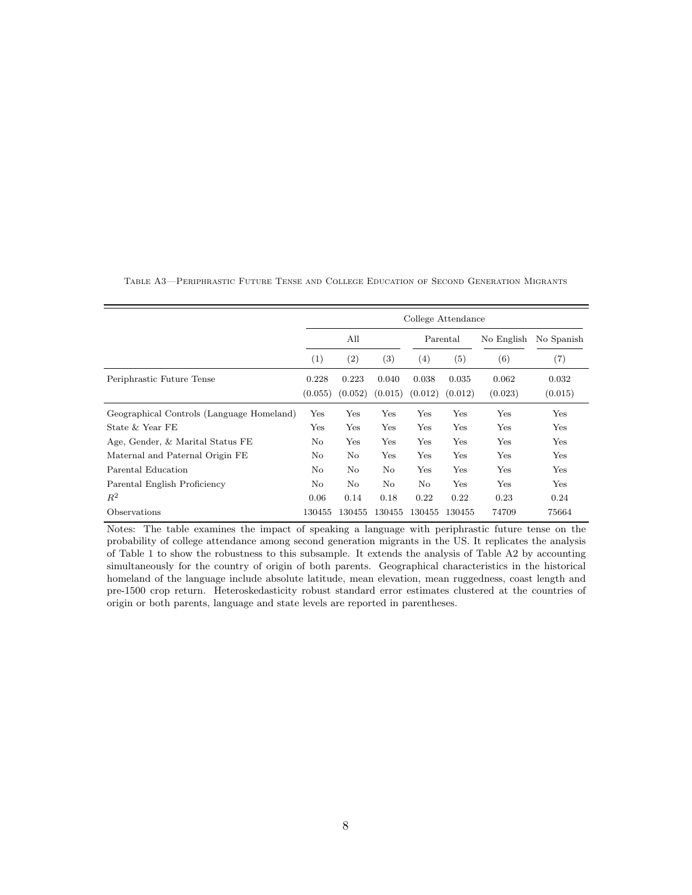|                                           | College Attendance |                   |                  |                  |                  |                  |                  |  |  |  |
|-------------------------------------------|--------------------|-------------------|------------------|------------------|------------------|------------------|------------------|--|--|--|
|                                           |                    | All               |                  |                  | Parental         | No English       | No Spanish       |  |  |  |
|                                           | $\left( 1\right)$  | $\left( 2\right)$ | (3)              | (4)              | (5)              | (6)              | (7)              |  |  |  |
| Periphrastic Future Tense                 | 0.228<br>(0.055)   | 0.223<br>(0.052)  | 0.040<br>(0.015) | 0.038<br>(0.012) | 0.035<br>(0.012) | 0.062<br>(0.023) | 0.032<br>(0.015) |  |  |  |
| Geographical Controls (Language Homeland) | Yes                | Yes               | Yes              | Yes              | Yes              | Yes              | Yes              |  |  |  |
| State $&$ Year FE                         | Yes                | Yes               | Yes              | Yes              | Yes              | Yes              | Yes              |  |  |  |
| Age, Gender, & Marital Status FE          | No                 | Yes               | Yes              | Yes              | Yes              | Yes              | Yes              |  |  |  |
| Maternal and Paternal Origin FE           | No                 | No                | Yes              | Yes              | Yes              | Yes              | Yes              |  |  |  |
| Parental Education                        | No                 | No                | No               | Yes              | Yes              | Yes              | Yes              |  |  |  |
| Parental English Proficiency              | No                 | No                | No               | No               | Yes              | Yes              | Yes              |  |  |  |
| $R^2$                                     | 0.06               | 0.14              | 0.18             | 0.22             | 0.22             | 0.23             | 0.24             |  |  |  |
| Observations                              | 130455             | 130455            | 130455           | 130455           | 130455           | 74709            | 75664            |  |  |  |

Table A3—Periphrastic Future Tense and College Education of Second Generation Migrants

Notes: The table examines the impact of speaking a language with periphrastic future tense on the probability of college attendance among second generation migrants in the US. It replicates the analysis of Table 1 to show the robustness to this subsample. It extends the analysis of Table A2 by accounting simultaneously for the country of origin of both parents. Geographical characteristics in the historical homeland of the language include absolute latitude, mean elevation, mean ruggedness, coast length and pre-1500 crop return. Heteroskedasticity robust standard error estimates clustered at the countries of origin or both parents, language and state levels are reported in parentheses.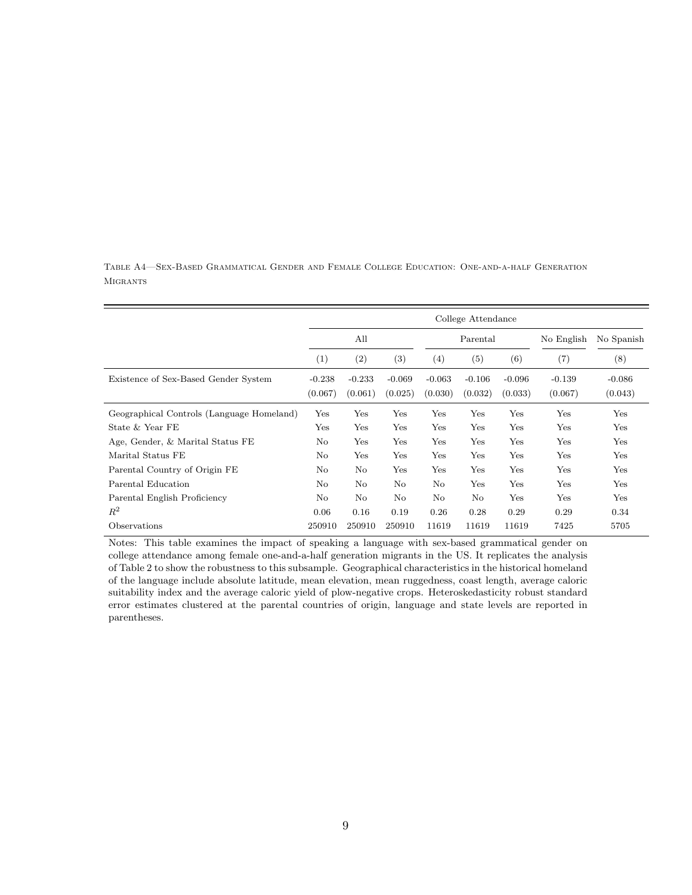|                                           | College Attendance  |                     |                     |                     |                     |                     |                     |                     |  |  |
|-------------------------------------------|---------------------|---------------------|---------------------|---------------------|---------------------|---------------------|---------------------|---------------------|--|--|
|                                           | All                 |                     |                     |                     | Parental            |                     | No English          | No Spanish          |  |  |
|                                           | (1)                 | (2)                 | (3)                 | $\left( 4\right)$   | $\left( 5\right)$   | (6)                 | (7)                 | (8)                 |  |  |
| Existence of Sex-Based Gender System      | $-0.238$<br>(0.067) | $-0.233$<br>(0.061) | $-0.069$<br>(0.025) | $-0.063$<br>(0.030) | $-0.106$<br>(0.032) | $-0.096$<br>(0.033) | $-0.139$<br>(0.067) | $-0.086$<br>(0.043) |  |  |
| Geographical Controls (Language Homeland) | Yes                 | Yes                 | Yes                 | Yes                 | Yes                 | Yes                 | Yes                 | Yes                 |  |  |
| State & Year FE                           | Yes                 | Yes                 | $_{\rm Yes}$        | Yes                 | Yes                 | Yes                 | Yes                 | Yes                 |  |  |
| Age, Gender, & Marital Status FE          | No                  | Yes                 | Yes                 | Yes                 | Yes                 | Yes                 | Yes                 | Yes                 |  |  |
| Marital Status FE                         | No                  | Yes                 | Yes                 | Yes                 | Yes                 | Yes                 | Yes                 | Yes                 |  |  |
| Parental Country of Origin FE             | No                  | No                  | Yes                 | Yes                 | Yes                 | Yes                 | Yes                 | Yes                 |  |  |
| Parental Education                        | $\rm No$            | No                  | No                  | No                  | Yes                 | Yes                 | Yes                 | Yes                 |  |  |
| Parental English Proficiency              | No                  | $\rm No$            | No                  | No                  | No                  | Yes                 | Yes                 | Yes                 |  |  |
| $R^2$                                     | 0.06                | 0.16                | 0.19                | 0.26                | 0.28                | 0.29                | 0.29                | 0.34                |  |  |
| Observations                              | 250910              | 250910              | 250910              | 11619               | 11619               | 11619               | 7425                | 5705                |  |  |

Table A4—Sex-Based Grammatical Gender and Female College Education: One-and-a-half Generation **MIGRANTS** 

Notes: This table examines the impact of speaking a language with sex-based grammatical gender on college attendance among female one-and-a-half generation migrants in the US. It replicates the analysis of Table 2 to show the robustness to this subsample. Geographical characteristics in the historical homeland of the language include absolute latitude, mean elevation, mean ruggedness, coast length, average caloric suitability index and the average caloric yield of plow-negative crops. Heteroskedasticity robust standard error estimates clustered at the parental countries of origin, language and state levels are reported in parentheses.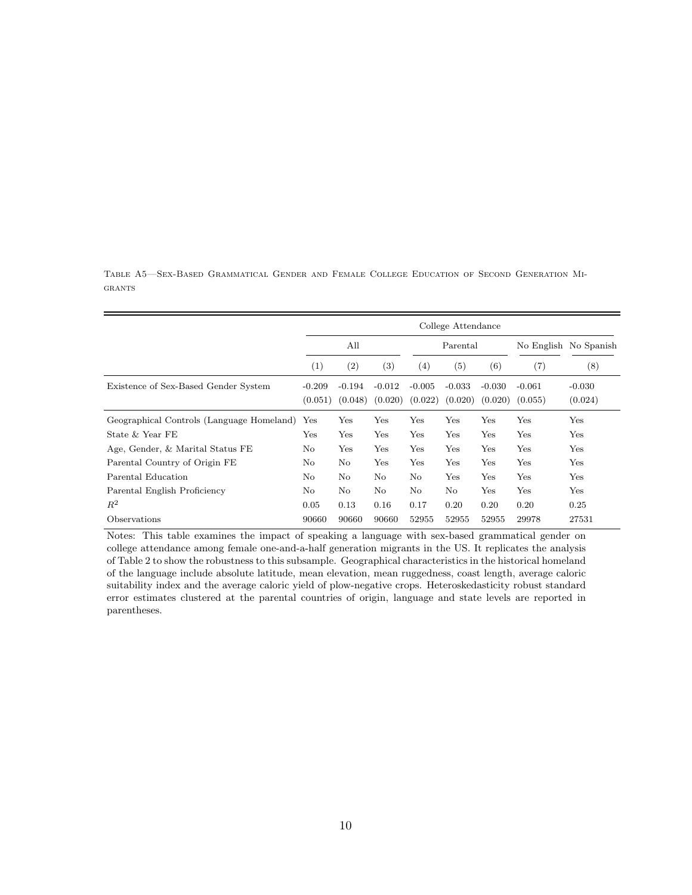|                                           | College Attendance  |                     |                     |                     |                     |                     |                     |                       |  |  |
|-------------------------------------------|---------------------|---------------------|---------------------|---------------------|---------------------|---------------------|---------------------|-----------------------|--|--|
|                                           | All                 |                     |                     |                     | Parental            |                     |                     | No English No Spanish |  |  |
|                                           | (1)                 | (2)                 | (3)                 | (4)                 | (5)                 | (6)                 | (7)                 | (8)                   |  |  |
| Existence of Sex-Based Gender System      | $-0.209$<br>(0.051) | $-0.194$<br>(0.048) | $-0.012$<br>(0.020) | $-0.005$<br>(0.022) | $-0.033$<br>(0.020) | $-0.030$<br>(0.020) | $-0.061$<br>(0.055) | $-0.030$<br>(0.024)   |  |  |
| Geographical Controls (Language Homeland) | Yes                 | Yes                 | Yes                 | $_{\rm Yes}$        | Yes                 | Yes                 | Yes                 | Yes                   |  |  |
| State & Year FE                           | Yes                 | Yes                 | Yes                 | Yes                 | Yes                 | Yes                 | Yes                 | Yes                   |  |  |
| Age, Gender, & Marital Status FE          | No                  | Yes                 | Yes                 | Yes                 | Yes                 | Yes                 | Yes                 | Yes                   |  |  |
| Parental Country of Origin FE             | No                  | No                  | Yes                 | Yes                 | Yes                 | Yes                 | Yes                 | Yes                   |  |  |
| Parental Education                        | No                  | No                  | No                  | No                  | Yes                 | Yes                 | Yes                 | Yes                   |  |  |
| Parental English Proficiency              | No                  | No                  | N <sub>o</sub>      | No                  | No                  | Yes                 | Yes                 | Yes                   |  |  |
| $R^2$                                     | 0.05                | 0.13                | 0.16                | 0.17                | 0.20                | 0.20                | 0.20                | 0.25                  |  |  |
| Observations                              | 90660               | 90660               | 90660               | 52955               | 52955               | 52955               | 29978               | 27531                 |  |  |

Table A5—Sex-Based Grammatical Gender and Female College Education of Second Generation Mi-GRANTS

Notes: This table examines the impact of speaking a language with sex-based grammatical gender on college attendance among female one-and-a-half generation migrants in the US. It replicates the analysis of Table 2 to show the robustness to this subsample. Geographical characteristics in the historical homeland of the language include absolute latitude, mean elevation, mean ruggedness, coast length, average caloric suitability index and the average caloric yield of plow-negative crops. Heteroskedasticity robust standard error estimates clustered at the parental countries of origin, language and state levels are reported in parentheses.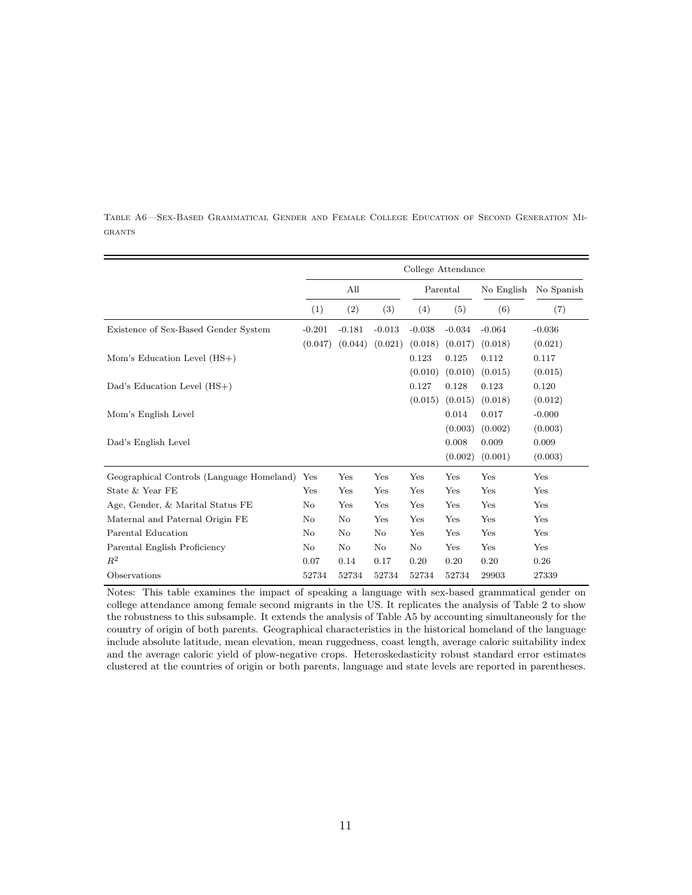|                                           | College Attendance |          |          |          |          |            |            |  |  |
|-------------------------------------------|--------------------|----------|----------|----------|----------|------------|------------|--|--|
|                                           |                    | All      |          |          | Parental | No English | No Spanish |  |  |
|                                           | (1)                | (2)      | (3)      | (4)      | (5)      | (6)        | (7)        |  |  |
| Existence of Sex-Based Gender System      | $-0.201$           | $-0.181$ | $-0.013$ | $-0.038$ | $-0.034$ | $-0.064$   | $-0.036$   |  |  |
|                                           | (0.047)            | (0.044)  | (0.021)  | (0.018)  | (0.017)  | (0.018)    | (0.021)    |  |  |
| Mom's Education Level $(HS+)$             |                    |          |          | 0.123    | 0.125    | 0.112      | 0.117      |  |  |
|                                           |                    |          |          | (0.010)  | (0.010)  | (0.015)    | (0.015)    |  |  |
| Dad's Education Level (HS+)               |                    |          |          | 0.127    | 0.128    | 0.123      | 0.120      |  |  |
|                                           |                    |          |          | (0.015)  | (0.015)  | (0.018)    | (0.012)    |  |  |
| Mom's English Level                       |                    |          |          |          | 0.014    | 0.017      | $-0.000$   |  |  |
|                                           |                    |          |          |          | (0.003)  | (0.002)    | (0.003)    |  |  |
| Dad's English Level                       |                    |          |          |          | 0.008    | 0.009      | 0.009      |  |  |
|                                           |                    |          |          |          | (0.002)  | (0.001)    | (0.003)    |  |  |
| Geographical Controls (Language Homeland) | Yes                | Yes      | Yes      | Yes      | Yes      | Yes        | Yes        |  |  |
| State & Year FE                           | Yes                | Yes      | Yes      | Yes      | Yes      | Yes        | Yes        |  |  |
| Age, Gender, & Marital Status FE          | No                 | Yes      | Yes      | Yes      | Yes      | Yes        | Yes        |  |  |
| Maternal and Paternal Origin FE           | No                 | No       | Yes      | Yes      | Yes      | Yes        | Yes        |  |  |
| Parental Education                        | No                 | No       | No       | Yes      | Yes      | Yes        | Yes        |  |  |
| Parental English Proficiency              | No                 | No       | No       | $\rm No$ | Yes      | Yes        | Yes        |  |  |
| $R^2$                                     | 0.07               | 0.14     | 0.17     | 0.20     | 0.20     | 0.20       | 0.26       |  |  |
| Observations                              | 52734              | 52734    | 52734    | 52734    | 52734    | 29903      | 27339      |  |  |

Table A6—Sex-Based Grammatical Gender and Female College Education of Second Generation Mi-GRANTS

Notes: This table examines the impact of speaking a language with sex-based grammatical gender on college attendance among female second migrants in the US. It replicates the analysis of Table 2 to show the robustness to this subsample. It extends the analysis of Table A5 by accounting simultaneously for the country of origin of both parents. Geographical characteristics in the historical homeland of the language include absolute latitude, mean elevation, mean ruggedness, coast length, average caloric suitability index and the average caloric yield of plow-negative crops. Heteroskedasticity robust standard error estimates clustered at the countries of origin or both parents, language and state levels are reported in parentheses.